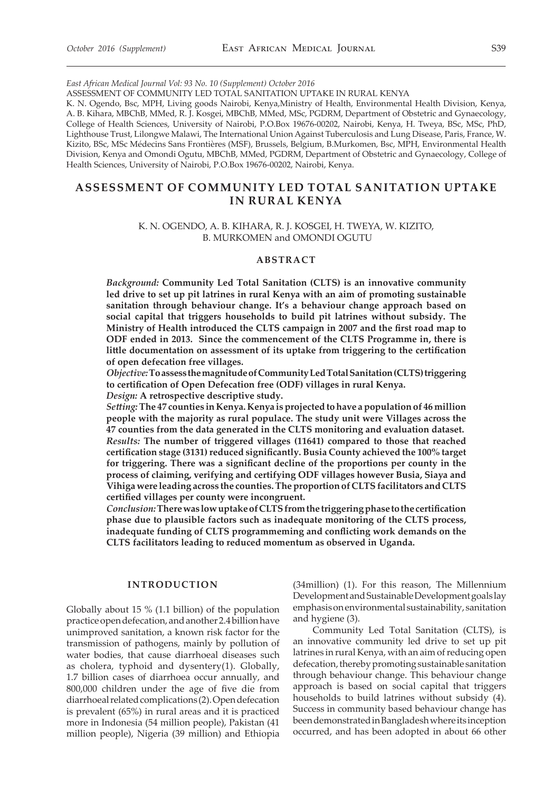*East African Medical Journal Vol: 93 No. 10 (Supplement) October 2016* 

ASSESSMENT OF COMMUNITY LED TOTAL SANITATION UPTAKE IN RURAL KENYA

K. N. Ogendo, Bsc, MPH, Living goods Nairobi, Kenya,Ministry of Health, Environmental Health Division, Kenya, A. B. Kihara, MBChB, MMed, R. J. Kosgei, MBChB, MMed, MSc, PGDRM, Department of Obstetric and Gynaecology, College of Health Sciences, University of Nairobi, P.O.Box 19676-00202, Nairobi, Kenya, H. Tweya, BSc, MSc, PhD, Lighthouse Trust, Lilongwe Malawi, The International Union Against Tuberculosis and Lung Disease, Paris, France, W. Kizito, BSc, MSc Médecins Sans Frontières (MSF), Brussels, Belgium, B.Murkomen, Bsc, MPH, Environmental Health Division, Kenya and Omondi Ogutu, MBChB, MMed, PGDRM, Department of Obstetric and Gynaecology, College of Health Sciences, University of Nairobi, P.O.Box 19676-00202, Nairobi, Kenya.

## **Assessment of Community Led Total Sanitation Uptake in Rural Kenya**

### K. N. OGENDO, A. B. KIHARA, R. J. KOSGEI, H. TWEYA, W. KIZITO, B. MURKOMEN and OMONDI OGUTU

#### **ABSTRACT**

*Background:* **Community Led Total Sanitation (CLTS) is an innovative community led drive to set up pit latrines in rural Kenya with an aim of promoting sustainable sanitation through behaviour change. It's a behaviour change approach based on social capital that triggers households to build pit latrines without subsidy. The Ministry of Health introduced the CLTS campaign in 2007 and the first road map to ODF ended in 2013. Since the commencement of the CLTS Programme in, there is little documentation on assessment of its uptake from triggering to the certification of open defecation free villages.**

*Objective:* **To assess the magnitude of Community Led Total Sanitation (CLTS) triggering to certification of Open Defecation free (ODF) villages in rural Kenya.**

*Design:* **A retrospective descriptive study.** 

*Setting:* **The 47 counties in Kenya. Kenya is projected to have a population of 46 million people with the majority as rural populace. The study unit were Villages across the 47 counties from the data generated in the CLTS monitoring and evaluation dataset.** *Results:* **The number of triggered villages (11641) compared to those that reached certification stage (3131) reduced significantly. Busia County achieved the 100% target for triggering. There was a significant decline of the proportions per county in the process of claiming, verifying and certifying ODF villages however Busia, Siaya and Vihiga were leading across the counties. The proportion of CLTS facilitators and CLTS certified villages per county were incongruent.**

*Conclusion:* **There was low uptake of CLTS from the triggering phase to the certification phase due to plausible factors such as inadequate monitoring of the CLTS process, inadequate funding of CLTS programmeming and conflicting work demands on the CLTS facilitators leading to reduced momentum as observed in Uganda.**

## **INTRODUCTION**

Globally about 15 % (1.1 billion) of the population practice open defecation, and another 2.4 billion have unimproved sanitation, a known risk factor for the transmission of pathogens, mainly by pollution of water bodies, that cause diarrhoeal diseases such as cholera, typhoid and dysentery(1). Globally, 1.7 billion cases of diarrhoea occur annually, and 800,000 children under the age of five die from diarrhoeal related complications (2). Open defecation is prevalent (65%) in rural areas and it is practiced more in Indonesia (54 million people), Pakistan (41 million people), Nigeria (39 million) and Ethiopia

(34million) (1). For this reason, The Millennium Development and Sustainable Development goals lay emphasis on environmental sustainability, sanitation and hygiene (3).

Community Led Total Sanitation (CLTS), is an innovative community led drive to set up pit latrines in rural Kenya, with an aim of reducing open defecation, thereby promoting sustainable sanitation through behaviour change. This behaviour change approach is based on social capital that triggers households to build latrines without subsidy (4). Success in community based behaviour change has been demonstrated in Bangladesh where its inception occurred, and has been adopted in about 66 other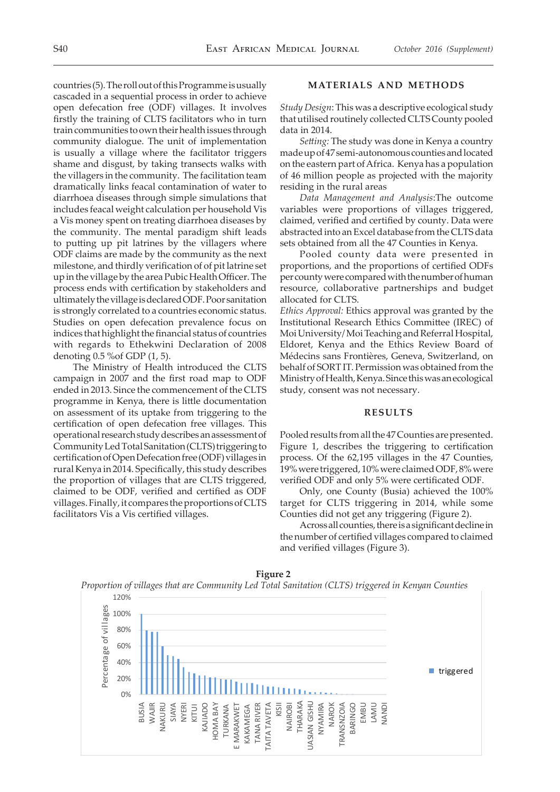# countries (5). The roll out of this Programme is usually cascaded in a sequential process in order to achieve open defecation free (ODF) villages. It involves firstly the training of CLTS facilitators who in turn train communities to own their health issues through community dialogue. The unit of implementation is usually a village where the facilitator triggers shame and disgust, by taking transects walks with the villagers in the community. The facilitation team dramatically links feacal contamination of water to diarrhoea diseases through simple simulations that includes feacal weight calculation per household Vis a Vis money spent on treating diarrhoea diseases by the community. The mental paradigm shift leads to putting up pit latrines by the villagers where ODF claims are made by the community as the next milestone, and thirdly verification of of pit latrine set

up in the village by the area Pubic Health Officer. The process ends with certification by stakeholders and ultimately the village is declared ODF. Poor sanitation is strongly correlated to a countries economic status. Studies on open defecation prevalence focus on indices that highlight the financial status of countries with regards to Ethekwini Declaration of 2008 denoting 0.5 %of GDP (1, 5).

The Ministry of Health introduced the CLTS campaign in 2007 and the first road map to ODF ended in 2013. Since the commencement of the CLTS programme in Kenya, there is little documentation on assessment of its uptake from triggering to the certification of open defecation free villages. This operational research study describes an assessment of Community Led Total Sanitation (CLTS) triggering to certification of Open Defecation free (ODF) villages in rural Kenya in 2014. Specifically, this study describes the proportion of villages that are CLTS triggered, claimed to be ODF, verified and certified as ODF villages. Finally, it compares the proportions of CLTS facilitators Vis a Vis certified villages.

## **MATERIALS AND METHODS**

*Study Design*: This was a descriptive ecological study that utilised routinely collected CLTS County pooled data in 2014.

*Setting:* The study was done in Kenya a country made up of 47 semi-autonomous counties and located on the eastern part of Africa. Kenya has a population of 46 million people as projected with the majority residing in the rural areas

*Data Management and Analysis*:The outcome variables were proportions of villages triggered, claimed, verified and certified by county. Data were abstracted into an Excel database from the CLTS data sets obtained from all the 47 Counties in Kenya.

Pooled county data were presented in proportions, and the proportions of certified ODFs per county were compared with the number of human resource, collaborative partnerships and budget allocated for CLTS.

*Ethics Approval:* Ethics approval was granted by the Institutional Research Ethics Committee (IREC) of Moi University/ Moi Teaching and Referral Hospital, Eldoret, Kenya and the Ethics Review Board of Médecins sans Frontières, Geneva, Switzerland, on behalf of SORT IT. Permission was obtained from the Ministry of Health, Kenya. Since this was an ecological study, consent was not necessary.

## **RESULTS**

Pooled results from all the 47 Counties are presented. Figure 1, describes the triggering to certification process. Of the 62,195 villages in the 47 Counties, 19% were triggered, 10% were claimed ODF, 8% were verified ODF and only 5% were certificated ODF.

Only, one County (Busia) achieved the 100% target for CLTS triggering in 2014, while some Counties did not get any triggering (Figure 2).

Across all counties, there is a significant decline in the number of certified villages compared to claimed and verified villages (Figure 3).



**Figure 2**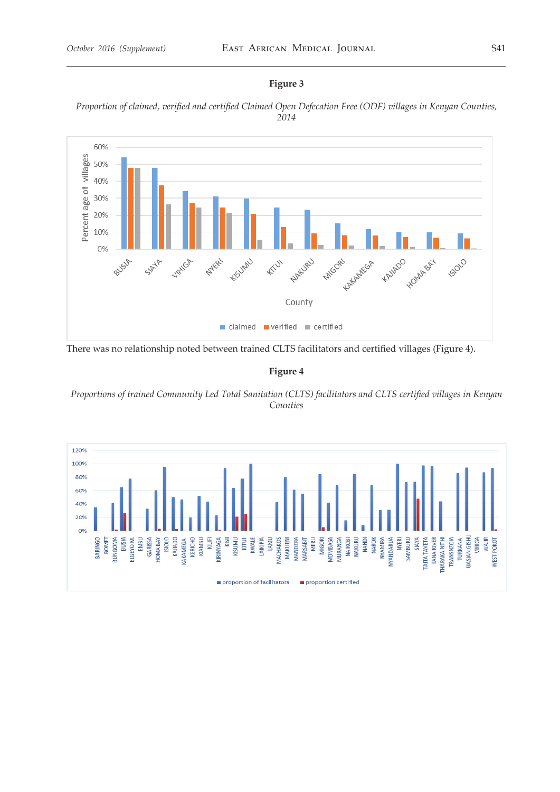## **Figure 3**





There was no relationship noted between trained CLTS facilitators and certified villages (Figure 4).

**Figure 4**

*Proportions of trained Community Led Total Sanitation (CLTS) facilitators and CLTS certified villages in Kenyan Counties*